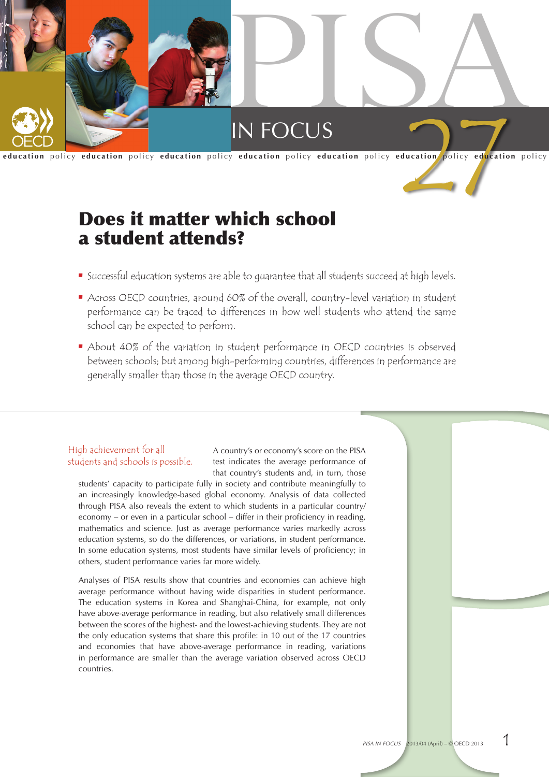

# Does it matter which school a student attends?

- **•** Successful education systems are able to quarantee that all students succeed at high levels.
- Across OECD countries, around 60% of the overall, country-level variation in student performance can be traced to differences in how well students who attend the same school can be expected to perform.
- About 40% of the variation in student performance in OECD countries is observed between schools; but among high-performing countries, differences in performance are generally smaller than those in the average OECD country.

## High achievement for all students and schools is possible.

A country's or economy's score on the PISA test indicates the average performance of that country's students and, in turn, those

students' capacity to participate fully in society and contribute meaningfully to an increasingly knowledge-based global economy. Analysis of data collected through PISA also reveals the extent to which students in a particular country/ economy – or even in a particular school – differ in their proficiency in reading, mathematics and science. Just as average performance varies markedly across education systems, so do the differences, or variations, in student performance. In some education systems, most students have similar levels of proficiency; in others, student performance varies far more widely.

Analyses of PISA results show that countries and economies can achieve high average performance without having wide disparities in student performance. The education systems in Korea and Shanghai-China, for example, not only have above-average performance in reading, but also relatively small differences between the scores of the highest- and the lowest-achieving students. They are not the only education systems that share this profile: in 10 out of the 17 countries and economies that have above-average performance in reading, variations in performance are smaller than the average variation observed across OECD countries.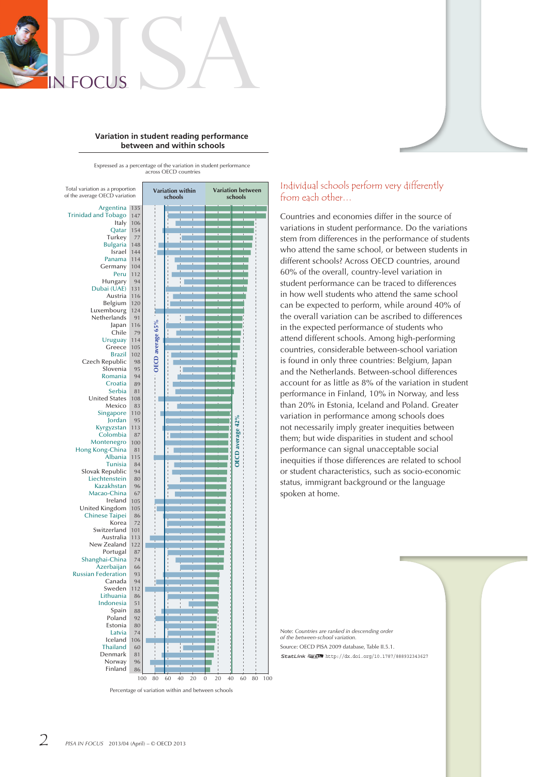

#### **Variation in student reading performance between and within schools**

Expressed as a percentage of the variation in student performance across OECD countries



Percentage of variation within and between schools

# Individual schools perform very differently from each other…

Countries and economies differ in the source of variations in student performance. Do the variations stem from differences in the performance of students who attend the same school, or between students in different schools? Across OECD countries, around 60% of the overall, country-level variation in student performance can be traced to differences in how well students who attend the same school can be expected to perform, while around 40% of the overall variation can be ascribed to differences in the expected performance of students who attend different schools. Among high-performing countries, considerable between-school variation is found in only three countries: Belgium, Japan and the Netherlands. Between-school differences account for as little as 8% of the variation in student performance in Finland, 10% in Norway, and less than 20% in Estonia, Iceland and Poland. Greater variation in performance among schools does not necessarily imply greater inequities between them; but wide disparities in student and school performance can signal unacceptable social inequities if those differences are related to school or student characteristics, such as socio-economic status, immigrant background or the language spoken at home.

Note: *Countries are ranked in descending order of the between-school variation.* Source: OECD PISA 2009 database. Table II.5.1. Source: OECD PISA 2009 database, Table II.5.1.<br>StatLink आs∏ <http://dx.doi.org/10.1787/888932343627>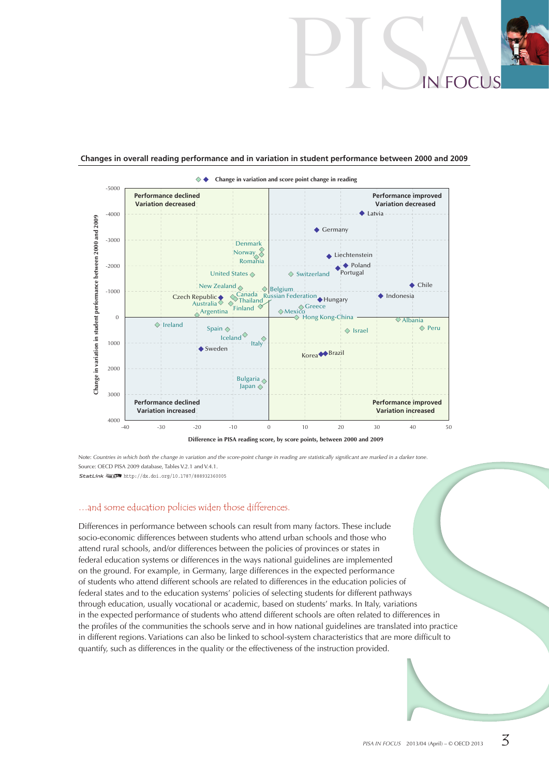# PISAin Focus

#### **Changes in overall reading performance and in variation in student performance between 2000 and 2009**



Note: *Countries in which both the change in variation and the score-point change in reading are statistically significant are marked in a darker tone.* Source: OECD PISA 2009 database, Tables V.2.1 and V.4.1 1ource: OE 2CD PISA 2009 database, Tables V.2.1 and V.4.1. <http://dx.doi.org/10.1787/888932360005>

#### …and some education policies widen those differences.

Differences in performance between schools can result from many factors. These include socio-economic differences between students who attend urban schools and those who attend rural schools, and/or differences between the policies of provinces or states in federal education systems or differences in the ways national guidelines are implemented on the ground. For example, in Germany, large differences in the expected performance of students who attend different schools are related to differences in the education policies of federal states and to the education systems' policies of selecting students for different pathways through education, usually vocational or academic, based on students' marks. In Italy, variations in the expected performance of students who attend different schools are often related to differences in the profiles of the communities the schools serve and in how national guidelines are translated into practice in different regions. Variations can also be linked to school-system characteristics that are more difficult to quantify, such as differences in the quality or the effectiveness of the instruction provided.